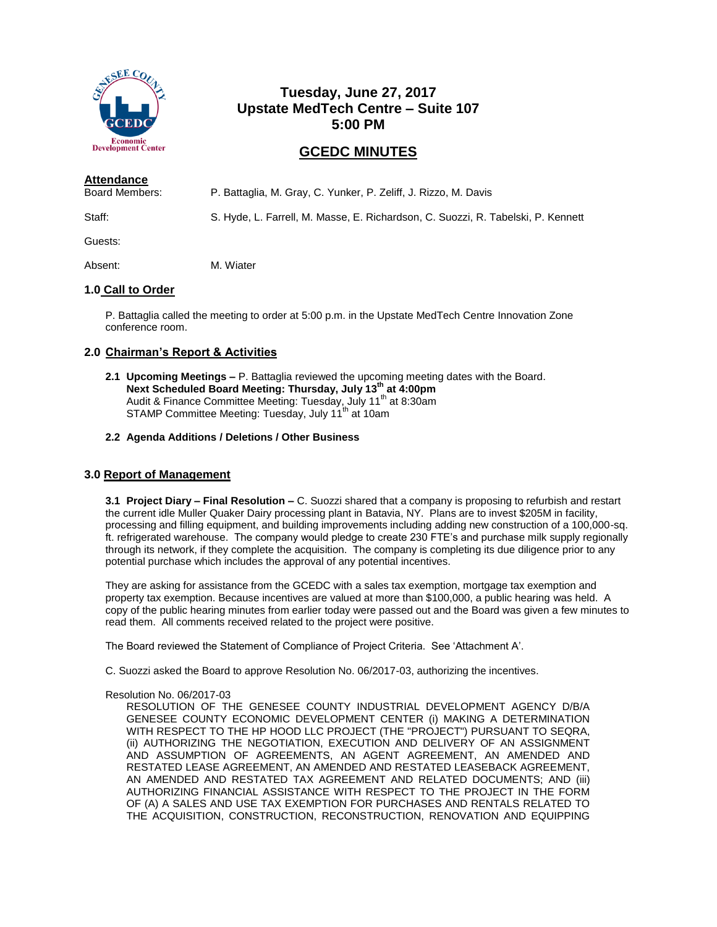

# **Tuesday, June 27, 2017 Upstate MedTech Centre – Suite 107 5:00 PM**

# **GCEDC MINUTES**

| <b>Attendance</b> |                                                                                  |
|-------------------|----------------------------------------------------------------------------------|
| Board Members:    | P. Battaglia, M. Gray, C. Yunker, P. Zeliff, J. Rizzo, M. Davis                  |
| Staff:            | S. Hyde, L. Farrell, M. Masse, E. Richardson, C. Suozzi, R. Tabelski, P. Kennett |

Guests:

Absent: M. Wiater

# **1.0 Call to Order**

P. Battaglia called the meeting to order at 5:00 p.m. in the Upstate MedTech Centre Innovation Zone conference room.

# **2.0 Chairman's Report & Activities**

- **2.1 Upcoming Meetings –** P. Battaglia reviewed the upcoming meeting dates with the Board. **Next Scheduled Board Meeting: Thursday, July 13th at 4:00pm** Audit & Finance Committee Meeting: Tuesday, July 11<sup>th</sup> at 8:30am STAMP Committee Meeting: Tuesday, July 11<sup>th</sup> at 10am
- **2.2 Agenda Additions / Deletions / Other Business**

## **3.0 Report of Management**

**3.1 Project Diary – Final Resolution –** C. Suozzi shared that a company is proposing to refurbish and restart the current idle Muller Quaker Dairy processing plant in Batavia, NY. Plans are to invest \$205M in facility, processing and filling equipment, and building improvements including adding new construction of a 100,000-sq. ft. refrigerated warehouse. The company would pledge to create 230 FTE's and purchase milk supply regionally through its network, if they complete the acquisition. The company is completing its due diligence prior to any potential purchase which includes the approval of any potential incentives.

They are asking for assistance from the GCEDC with a sales tax exemption, mortgage tax exemption and property tax exemption. Because incentives are valued at more than \$100,000, a public hearing was held. A copy of the public hearing minutes from earlier today were passed out and the Board was given a few minutes to read them. All comments received related to the project were positive.

The Board reviewed the Statement of Compliance of Project Criteria. See 'Attachment A'.

C. Suozzi asked the Board to approve Resolution No. 06/2017-03, authorizing the incentives.

## Resolution No. 06/2017-03

RESOLUTION OF THE GENESEE COUNTY INDUSTRIAL DEVELOPMENT AGENCY D/B/A GENESEE COUNTY ECONOMIC DEVELOPMENT CENTER (i) MAKING A DETERMINATION WITH RESPECT TO THE HP HOOD LLC PROJECT (THE "PROJECT") PURSUANT TO SEQRA, (ii) AUTHORIZING THE NEGOTIATION, EXECUTION AND DELIVERY OF AN ASSIGNMENT AND ASSUMPTION OF AGREEMENTS, AN AGENT AGREEMENT, AN AMENDED AND RESTATED LEASE AGREEMENT, AN AMENDED AND RESTATED LEASEBACK AGREEMENT, AN AMENDED AND RESTATED TAX AGREEMENT AND RELATED DOCUMENTS; AND (iii) AUTHORIZING FINANCIAL ASSISTANCE WITH RESPECT TO THE PROJECT IN THE FORM OF (A) A SALES AND USE TAX EXEMPTION FOR PURCHASES AND RENTALS RELATED TO THE ACQUISITION, CONSTRUCTION, RECONSTRUCTION, RENOVATION AND EQUIPPING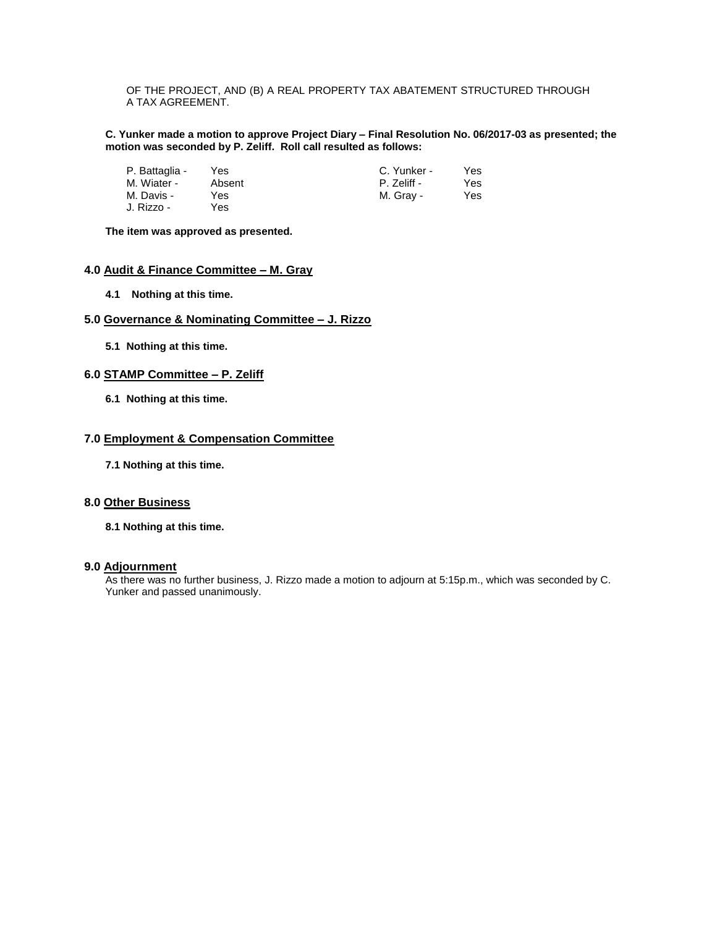OF THE PROJECT, AND (B) A REAL PROPERTY TAX ABATEMENT STRUCTURED THROUGH A TAX AGREEMENT.

**C. Yunker made a motion to approve Project Diary – Final Resolution No. 06/2017-03 as presented; the motion was seconded by P. Zeliff. Roll call resulted as follows:**

| P. Battaglia - | Yes    | C. Yunker - | Yes. |
|----------------|--------|-------------|------|
| M. Wiater -    | Absent | P. Zeliff - | Yes. |
| M. Davis -     | Yes.   | M. Grav -   | Yes  |
| J. Rizzo -     | Yes.   |             |      |

**The item was approved as presented.**

# **4.0 Audit & Finance Committee – M. Gray**

**4.1 Nothing at this time.**

### **5.0 Governance & Nominating Committee – J. Rizzo**

**5.1 Nothing at this time.**

### **6.0 STAMP Committee – P. Zeliff**

**6.1 Nothing at this time.**

### **7.0 Employment & Compensation Committee**

**7.1 Nothing at this time.**

## **8.0 Other Business**

**8.1 Nothing at this time.**

### **9.0 Adjournment**

As there was no further business, J. Rizzo made a motion to adjourn at 5:15p.m., which was seconded by C. Yunker and passed unanimously.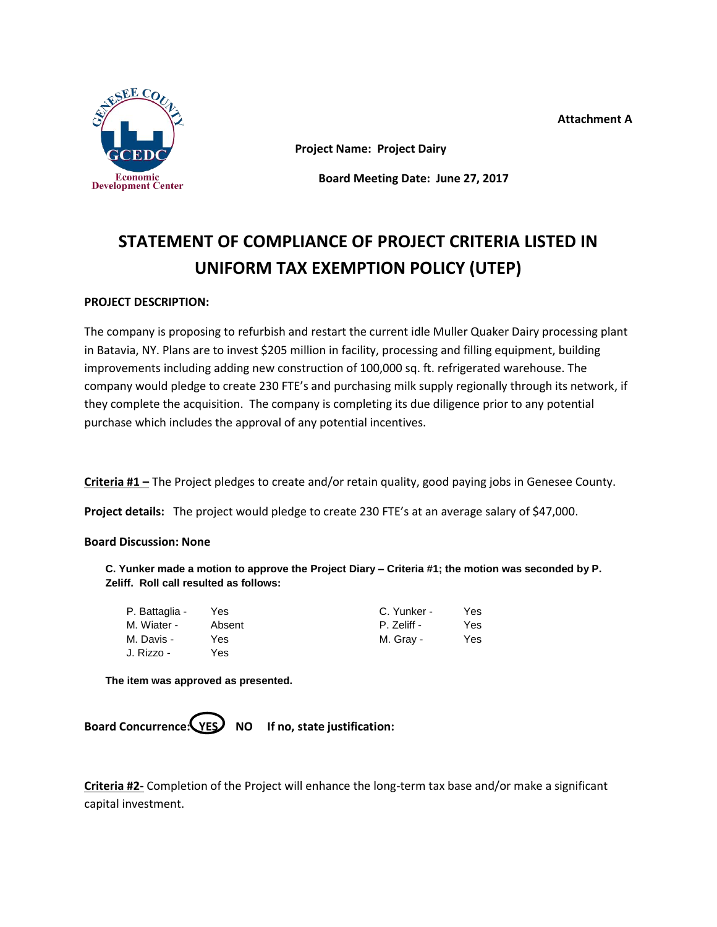

**Attachment A**

**Project Name: Project Dairy**

**Board Meeting Date: June 27, 2017**

# **STATEMENT OF COMPLIANCE OF PROJECT CRITERIA LISTED IN UNIFORM TAX EXEMPTION POLICY (UTEP)**

# **PROJECT DESCRIPTION:**

The company is proposing to refurbish and restart the current idle Muller Quaker Dairy processing plant in Batavia, NY. Plans are to invest \$205 million in facility, processing and filling equipment, building improvements including adding new construction of 100,000 sq. ft. refrigerated warehouse. The company would pledge to create 230 FTE's and purchasing milk supply regionally through its network, if they complete the acquisition. The company is completing its due diligence prior to any potential purchase which includes the approval of any potential incentives.

**Criteria #1 –** The Project pledges to create and/or retain quality, good paying jobs in Genesee County.

**Project details:** The project would pledge to create 230 FTE's at an average salary of \$47,000.

## **Board Discussion: None**

**C. Yunker made a motion to approve the Project Diary – Criteria #1; the motion was seconded by P. Zeliff. Roll call resulted as follows:**

| P. Battaglia - | Yes    | C. Yunker - | Yes |
|----------------|--------|-------------|-----|
| M. Wiater -    | Absent | P. Zeliff - | Yes |
| M. Davis -     | Yes    | M. Gray -   | Yes |
| J. Rizzo -     | Yes    |             |     |

**The item was approved as presented.**

Board Concurrence: **YES** NO If no, state justification:

**Criteria #2-** Completion of the Project will enhance the long-term tax base and/or make a significant capital investment.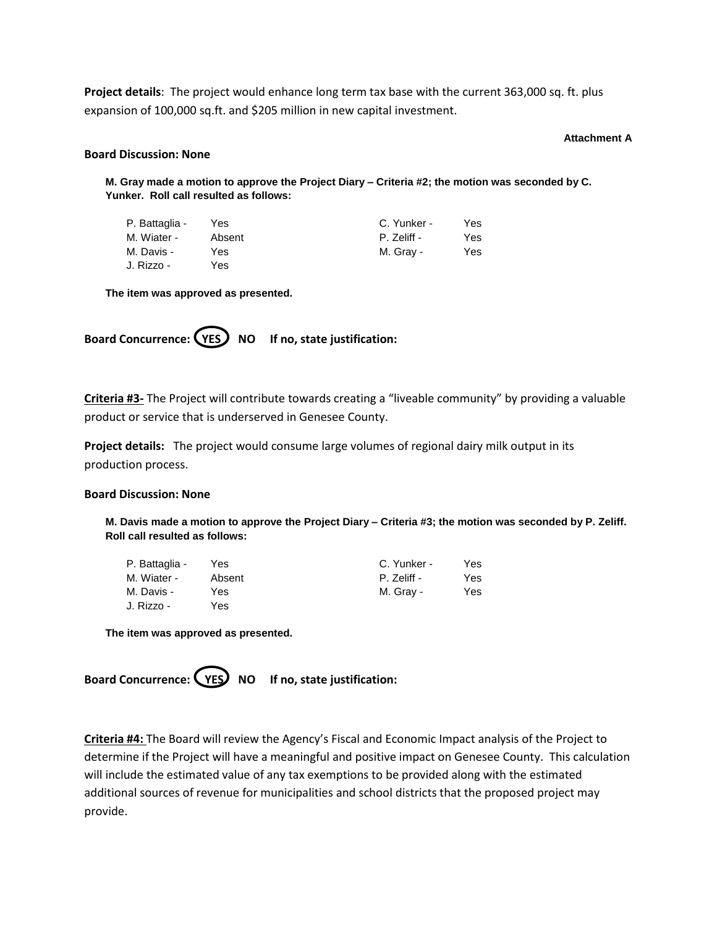**Project details**: The project would enhance long term tax base with the current 363,000 sq. ft. plus expansion of 100,000 sq.ft. and \$205 million in new capital investment.

### **Attachment A**

## **Board Discussion: None**

**M. Gray made a motion to approve the Project Diary – Criteria #2; the motion was seconded by C. Yunker. Roll call resulted as follows:**

| P. Battaglia - | Yes    | C. Yunker - | Yes |
|----------------|--------|-------------|-----|
| M. Wiater -    | Absent | P. Zeliff - | Yes |
| M. Davis -     | Yes    | M. Gray -   | Yes |
| J. Rizzo -     | Yes.   |             |     |

**The item was approved as presented.**

Board Concurrence: (YES) NO If no, state justification:

**Criteria #3-** The Project will contribute towards creating a "liveable community" by providing a valuable product or service that is underserved in Genesee County.

**Project details:** The project would consume large volumes of regional dairy milk output in its production process.

### **Board Discussion: None**

**M. Davis made a motion to approve the Project Diary – Criteria #3; the motion was seconded by P. Zeliff. Roll call resulted as follows:**

| P. Battaglia - | Yes    | C. Yunker - | Yes. |
|----------------|--------|-------------|------|
| M. Wiater -    | Absent | P. Zeliff - | Yes  |
| M. Davis -     | Yes    | M. Gray -   | Yes  |
| J. Rizzo -     | Yes    |             |      |

**The item was approved as presented.**

Board Concurrence: (YES) NO If no, state justification:

**Criteria #4:** The Board will review the Agency's Fiscal and Economic Impact analysis of the Project to determine if the Project will have a meaningful and positive impact on Genesee County. This calculation will include the estimated value of any tax exemptions to be provided along with the estimated additional sources of revenue for municipalities and school districts that the proposed project may provide.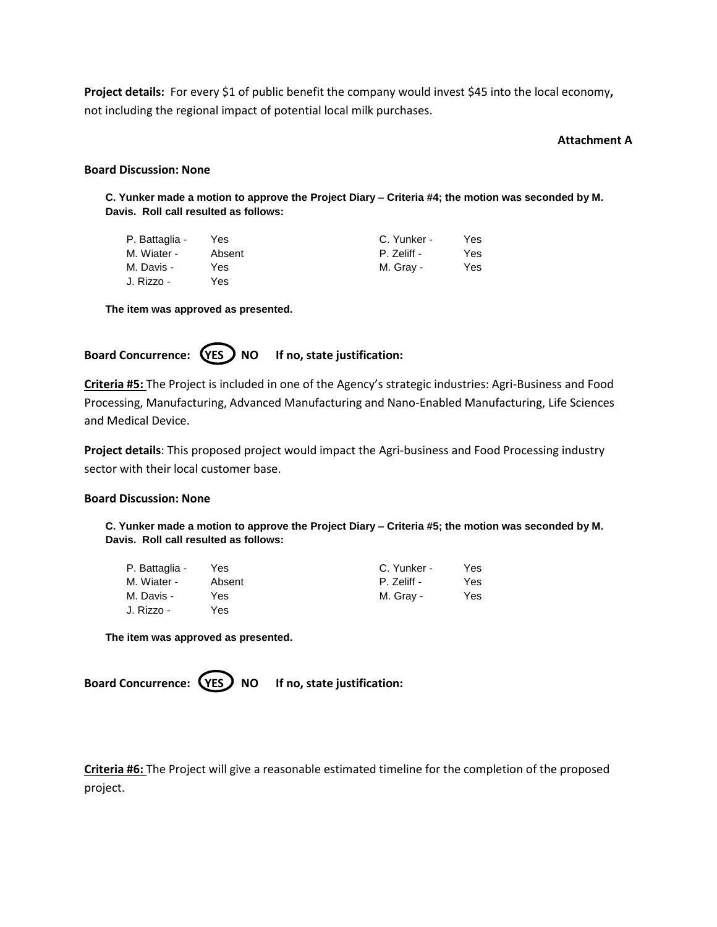**Project details:** For every \$1 of public benefit the company would invest \$45 into the local economy**,**  not including the regional impact of potential local milk purchases.

### **Attachment A**

### **Board Discussion: None**

**C. Yunker made a motion to approve the Project Diary – Criteria #4; the motion was seconded by M. Davis. Roll call resulted as follows:**

| P. Battaglia - | Yes.   | C. Yunker - | Yes |
|----------------|--------|-------------|-----|
| M. Wiater -    | Absent | P. Zeliff - | Yes |
| M. Davis -     | Yes    | M. Gray -   | Yes |
| J. Rizzo -     | Yes    |             |     |

**The item was approved as presented.**

Board Concurrence: (YES ) NO If no, state justification:

**Criteria #5:** The Project is included in one of the Agency's strategic industries: Agri-Business and Food Processing, Manufacturing, Advanced Manufacturing and Nano-Enabled Manufacturing, Life Sciences and Medical Device.

**Project details**: This proposed project would impact the Agri-business and Food Processing industry sector with their local customer base.

### **Board Discussion: None**

**C. Yunker made a motion to approve the Project Diary – Criteria #5; the motion was seconded by M. Davis. Roll call resulted as follows:**

| P. Battaglia - | Yes    | C. Yunker - | Yes |
|----------------|--------|-------------|-----|
| M. Wiater -    | Absent | P. Zeliff - | Yes |
| M. Davis -     | Yes    | M. Gray -   | Yes |
| J. Rizzo -     | Yes    |             |     |

**The item was approved as presented.**

Board Concurrence: (YES) NO If no, state justification:

**Criteria #6:** The Project will give a reasonable estimated timeline for the completion of the proposed project.